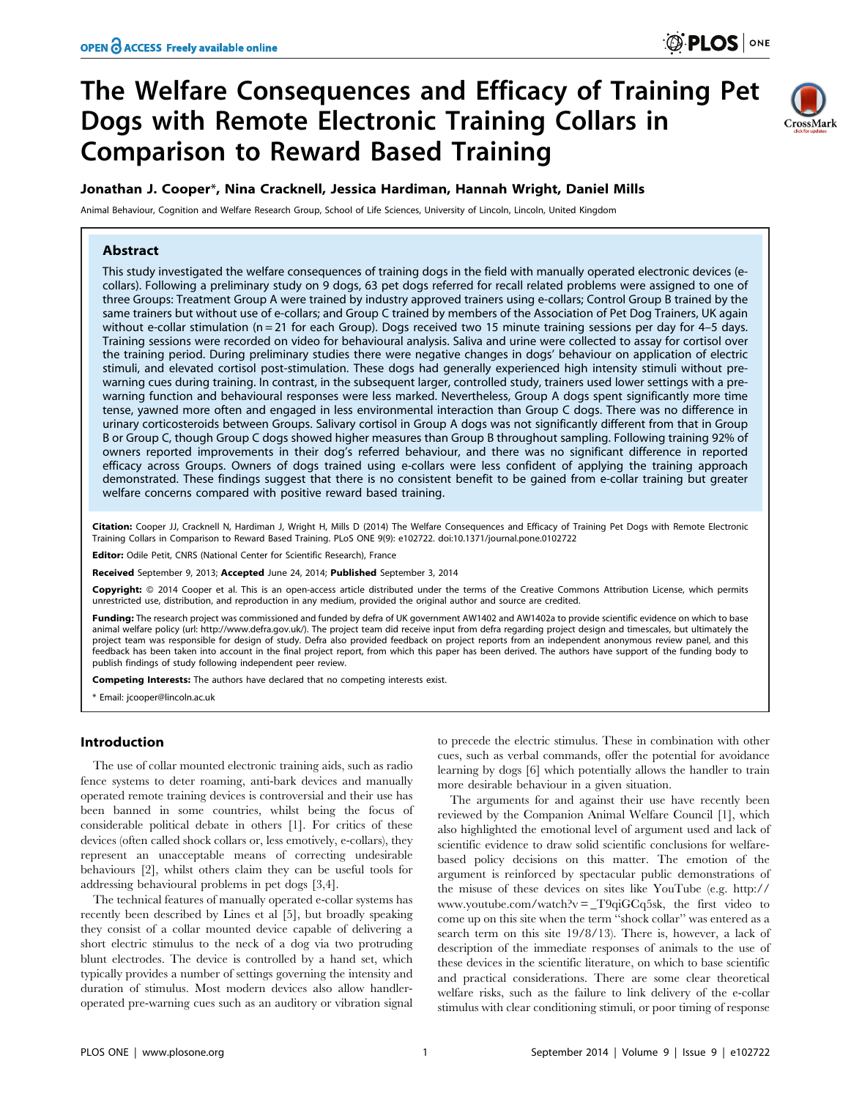# The Welfare Consequences and Efficacy of Training Pet Dogs with Remote Electronic Training Collars in Comparison to Reward Based Training



### Jonathan J. Cooper\*, Nina Cracknell, Jessica Hardiman, Hannah Wright, Daniel Mills

Animal Behaviour, Cognition and Welfare Research Group, School of Life Sciences, University of Lincoln, Lincoln, United Kingdom

#### Abstract

This study investigated the welfare consequences of training dogs in the field with manually operated electronic devices (ecollars). Following a preliminary study on 9 dogs, 63 pet dogs referred for recall related problems were assigned to one of three Groups: Treatment Group A were trained by industry approved trainers using e-collars; Control Group B trained by the same trainers but without use of e-collars; and Group C trained by members of the Association of Pet Dog Trainers, UK again without e-collar stimulation ( $n = 21$  for each Group). Dogs received two 15 minute training sessions per day for 4–5 days. Training sessions were recorded on video for behavioural analysis. Saliva and urine were collected to assay for cortisol over the training period. During preliminary studies there were negative changes in dogs' behaviour on application of electric stimuli, and elevated cortisol post-stimulation. These dogs had generally experienced high intensity stimuli without prewarning cues during training. In contrast, in the subsequent larger, controlled study, trainers used lower settings with a prewarning function and behavioural responses were less marked. Nevertheless, Group A dogs spent significantly more time tense, yawned more often and engaged in less environmental interaction than Group C dogs. There was no difference in urinary corticosteroids between Groups. Salivary cortisol in Group A dogs was not significantly different from that in Group B or Group C, though Group C dogs showed higher measures than Group B throughout sampling. Following training 92% of owners reported improvements in their dog's referred behaviour, and there was no significant difference in reported efficacy across Groups. Owners of dogs trained using e-collars were less confident of applying the training approach demonstrated. These findings suggest that there is no consistent benefit to be gained from e-collar training but greater welfare concerns compared with positive reward based training.

Citation: Cooper JJ, Cracknell N, Hardiman J, Wright H, Mills D (2014) The Welfare Consequences and Efficacy of Training Pet Dogs with Remote Electronic Training Collars in Comparison to Reward Based Training. PLoS ONE 9(9): e102722. doi:10.1371/journal.pone.0102722

Editor: Odile Petit, CNRS (National Center for Scientific Research), France

Received September 9, 2013; Accepted June 24, 2014; Published September 3, 2014

Copyright: © 2014 Cooper et al. This is an open-access article distributed under the terms of the [Creative Commons Attribution License,](http://creativecommons.org/licenses/by/4.0/) which permits unrestricted use, distribution, and reproduction in any medium, provided the original author and source are credited.

Funding: The research project was commissioned and funded by defra of UK government AW1402 and AW1402a to provide scientific evidence on which to base animal welfare policy (url: [http://www.defra.gov.uk/\)](http://www.defra.gov.uk/). The project team did receive input from defra regarding project design and timescales, but ultimately the project team was responsible for design of study. Defra also provided feedback on project reports from an independent anonymous review panel, and this feedback has been taken into account in the final project report, from which this paper has been derived. The authors have support of the funding body to publish findings of study following independent peer review.

**Competing Interests:** The authors have declared that no competing interests exist.

\* Email: jcooper@lincoln.ac.uk

#### Introduction

The use of collar mounted electronic training aids, such as radio fence systems to deter roaming, anti-bark devices and manually operated remote training devices is controversial and their use has been banned in some countries, whilst being the focus of considerable political debate in others [1]. For critics of these devices (often called shock collars or, less emotively, e-collars), they represent an unacceptable means of correcting undesirable behaviours [2], whilst others claim they can be useful tools for addressing behavioural problems in pet dogs [3,4].

The technical features of manually operated e-collar systems has recently been described by Lines et al [5], but broadly speaking they consist of a collar mounted device capable of delivering a short electric stimulus to the neck of a dog via two protruding blunt electrodes. The device is controlled by a hand set, which typically provides a number of settings governing the intensity and duration of stimulus. Most modern devices also allow handleroperated pre-warning cues such as an auditory or vibration signal to precede the electric stimulus. These in combination with other cues, such as verbal commands, offer the potential for avoidance learning by dogs [6] which potentially allows the handler to train more desirable behaviour in a given situation.

The arguments for and against their use have recently been reviewed by the Companion Animal Welfare Council [1], which also highlighted the emotional level of argument used and lack of scientific evidence to draw solid scientific conclusions for welfarebased policy decisions on this matter. The emotion of the argument is reinforced by spectacular public demonstrations of the misuse of these devices on sites like YouTube (e.g. [http://](http://www.youtube.com/watch?v=_T9qiGCq5sk) www.youtube.com/watch?v =  $T9qiGCq5sk$ , the first video to come up on this site when the term ''shock collar'' was entered as a search term on this site 19/8/13). There is, however, a lack of description of the immediate responses of animals to the use of these devices in the scientific literature, on which to base scientific and practical considerations. There are some clear theoretical welfare risks, such as the failure to link delivery of the e-collar stimulus with clear conditioning stimuli, or poor timing of response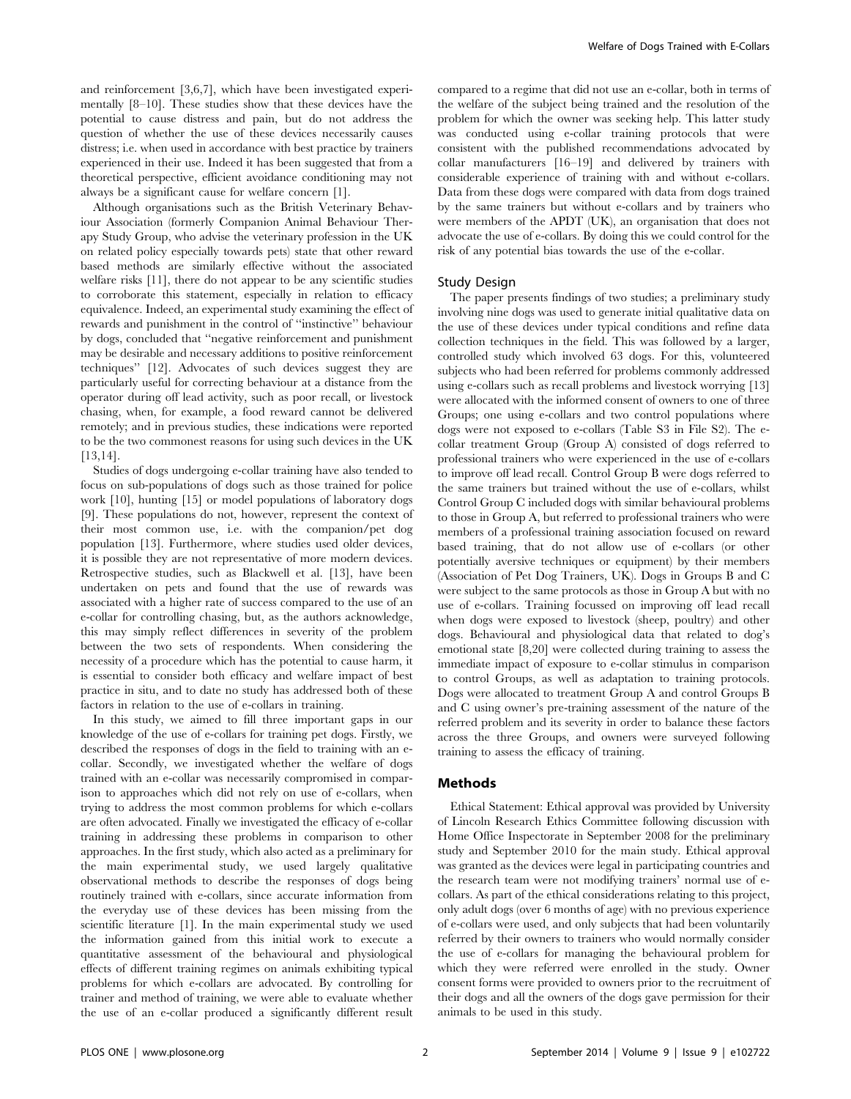and reinforcement [3,6,7], which have been investigated experimentally [8–10]. These studies show that these devices have the potential to cause distress and pain, but do not address the question of whether the use of these devices necessarily causes distress; i.e. when used in accordance with best practice by trainers experienced in their use. Indeed it has been suggested that from a theoretical perspective, efficient avoidance conditioning may not always be a significant cause for welfare concern [1].

Although organisations such as the British Veterinary Behaviour Association (formerly Companion Animal Behaviour Therapy Study Group, who advise the veterinary profession in the UK on related policy especially towards pets) state that other reward based methods are similarly effective without the associated welfare risks [11], there do not appear to be any scientific studies to corroborate this statement, especially in relation to efficacy equivalence. Indeed, an experimental study examining the effect of rewards and punishment in the control of ''instinctive'' behaviour by dogs, concluded that ''negative reinforcement and punishment may be desirable and necessary additions to positive reinforcement techniques'' [12]. Advocates of such devices suggest they are particularly useful for correcting behaviour at a distance from the operator during off lead activity, such as poor recall, or livestock chasing, when, for example, a food reward cannot be delivered remotely; and in previous studies, these indications were reported to be the two commonest reasons for using such devices in the UK [13,14].

Studies of dogs undergoing e-collar training have also tended to focus on sub-populations of dogs such as those trained for police work [10], hunting [15] or model populations of laboratory dogs [9]. These populations do not, however, represent the context of their most common use, i.e. with the companion/pet dog population [13]. Furthermore, where studies used older devices, it is possible they are not representative of more modern devices. Retrospective studies, such as Blackwell et al. [13], have been undertaken on pets and found that the use of rewards was associated with a higher rate of success compared to the use of an e-collar for controlling chasing, but, as the authors acknowledge, this may simply reflect differences in severity of the problem between the two sets of respondents. When considering the necessity of a procedure which has the potential to cause harm, it is essential to consider both efficacy and welfare impact of best practice in situ, and to date no study has addressed both of these factors in relation to the use of e-collars in training.

In this study, we aimed to fill three important gaps in our knowledge of the use of e-collars for training pet dogs. Firstly, we described the responses of dogs in the field to training with an ecollar. Secondly, we investigated whether the welfare of dogs trained with an e-collar was necessarily compromised in comparison to approaches which did not rely on use of e-collars, when trying to address the most common problems for which e-collars are often advocated. Finally we investigated the efficacy of e-collar training in addressing these problems in comparison to other approaches. In the first study, which also acted as a preliminary for the main experimental study, we used largely qualitative observational methods to describe the responses of dogs being routinely trained with e-collars, since accurate information from the everyday use of these devices has been missing from the scientific literature [1]. In the main experimental study we used the information gained from this initial work to execute a quantitative assessment of the behavioural and physiological effects of different training regimes on animals exhibiting typical problems for which e-collars are advocated. By controlling for trainer and method of training, we were able to evaluate whether the use of an e-collar produced a significantly different result compared to a regime that did not use an e-collar, both in terms of the welfare of the subject being trained and the resolution of the problem for which the owner was seeking help. This latter study was conducted using e-collar training protocols that were consistent with the published recommendations advocated by collar manufacturers [16–19] and delivered by trainers with considerable experience of training with and without e-collars. Data from these dogs were compared with data from dogs trained by the same trainers but without e-collars and by trainers who were members of the APDT (UK), an organisation that does not advocate the use of e-collars. By doing this we could control for the risk of any potential bias towards the use of the e-collar.

#### Study Design

The paper presents findings of two studies; a preliminary study involving nine dogs was used to generate initial qualitative data on the use of these devices under typical conditions and refine data collection techniques in the field. This was followed by a larger, controlled study which involved 63 dogs. For this, volunteered subjects who had been referred for problems commonly addressed using e-collars such as recall problems and livestock worrying [13] were allocated with the informed consent of owners to one of three Groups; one using e-collars and two control populations where dogs were not exposed to e-collars (Table S3 in File S2). The ecollar treatment Group (Group A) consisted of dogs referred to professional trainers who were experienced in the use of e-collars to improve off lead recall. Control Group B were dogs referred to the same trainers but trained without the use of e-collars, whilst Control Group C included dogs with similar behavioural problems to those in Group A, but referred to professional trainers who were members of a professional training association focused on reward based training, that do not allow use of e-collars (or other potentially aversive techniques or equipment) by their members (Association of Pet Dog Trainers, UK). Dogs in Groups B and C were subject to the same protocols as those in Group A but with no use of e-collars. Training focussed on improving off lead recall when dogs were exposed to livestock (sheep, poultry) and other dogs. Behavioural and physiological data that related to dog's emotional state [8,20] were collected during training to assess the immediate impact of exposure to e-collar stimulus in comparison to control Groups, as well as adaptation to training protocols. Dogs were allocated to treatment Group A and control Groups B and C using owner's pre-training assessment of the nature of the referred problem and its severity in order to balance these factors across the three Groups, and owners were surveyed following training to assess the efficacy of training.

#### Methods

Ethical Statement: Ethical approval was provided by University of Lincoln Research Ethics Committee following discussion with Home Office Inspectorate in September 2008 for the preliminary study and September 2010 for the main study. Ethical approval was granted as the devices were legal in participating countries and the research team were not modifying trainers' normal use of ecollars. As part of the ethical considerations relating to this project, only adult dogs (over 6 months of age) with no previous experience of e-collars were used, and only subjects that had been voluntarily referred by their owners to trainers who would normally consider the use of e-collars for managing the behavioural problem for which they were referred were enrolled in the study. Owner consent forms were provided to owners prior to the recruitment of their dogs and all the owners of the dogs gave permission for their animals to be used in this study.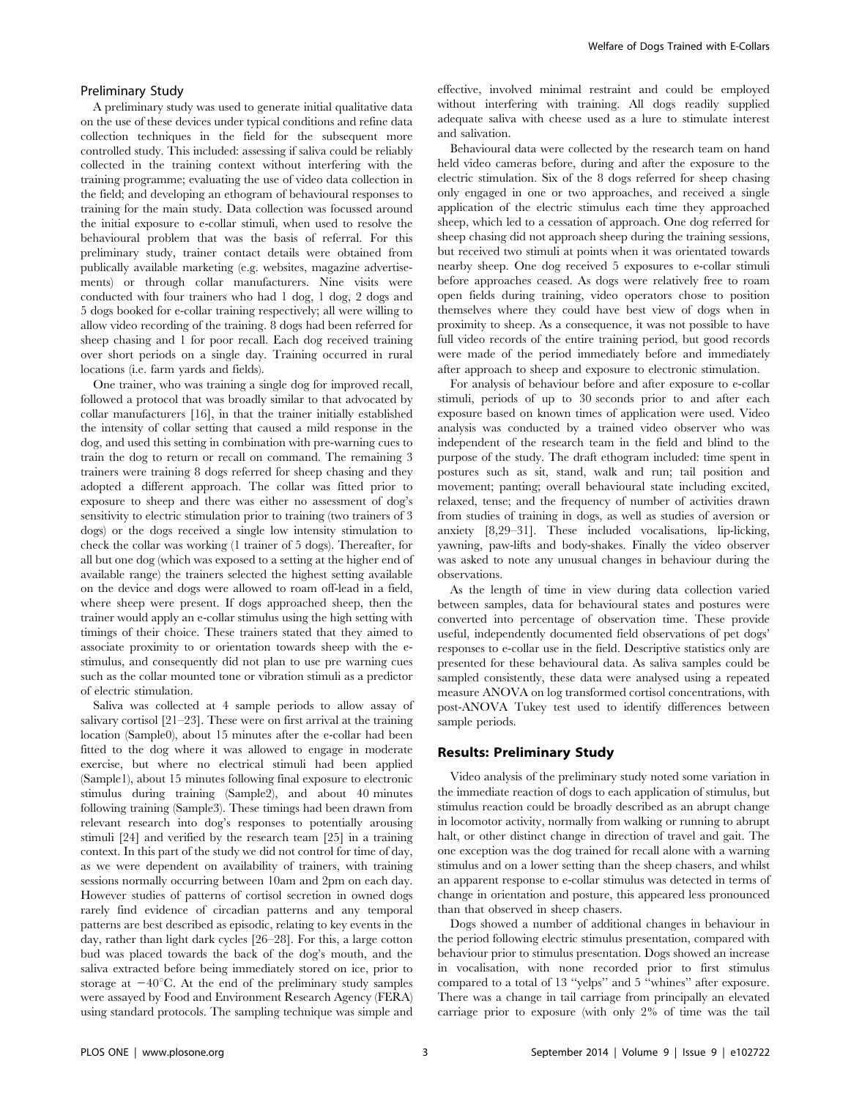#### Preliminary Study

A preliminary study was used to generate initial qualitative data on the use of these devices under typical conditions and refine data collection techniques in the field for the subsequent more controlled study. This included: assessing if saliva could be reliably collected in the training context without interfering with the training programme; evaluating the use of video data collection in the field; and developing an ethogram of behavioural responses to training for the main study. Data collection was focussed around the initial exposure to e-collar stimuli, when used to resolve the behavioural problem that was the basis of referral. For this preliminary study, trainer contact details were obtained from publically available marketing (e.g. websites, magazine advertisements) or through collar manufacturers. Nine visits were conducted with four trainers who had 1 dog, 1 dog, 2 dogs and 5 dogs booked for e-collar training respectively; all were willing to allow video recording of the training. 8 dogs had been referred for sheep chasing and 1 for poor recall. Each dog received training over short periods on a single day. Training occurred in rural locations (i.e. farm yards and fields).

One trainer, who was training a single dog for improved recall, followed a protocol that was broadly similar to that advocated by collar manufacturers [16], in that the trainer initially established the intensity of collar setting that caused a mild response in the dog, and used this setting in combination with pre-warning cues to train the dog to return or recall on command. The remaining 3 trainers were training 8 dogs referred for sheep chasing and they adopted a different approach. The collar was fitted prior to exposure to sheep and there was either no assessment of dog's sensitivity to electric stimulation prior to training (two trainers of 3 dogs) or the dogs received a single low intensity stimulation to check the collar was working (1 trainer of 5 dogs). Thereafter, for all but one dog (which was exposed to a setting at the higher end of available range) the trainers selected the highest setting available on the device and dogs were allowed to roam off-lead in a field, where sheep were present. If dogs approached sheep, then the trainer would apply an e-collar stimulus using the high setting with timings of their choice. These trainers stated that they aimed to associate proximity to or orientation towards sheep with the estimulus, and consequently did not plan to use pre warning cues such as the collar mounted tone or vibration stimuli as a predictor of electric stimulation.

Saliva was collected at 4 sample periods to allow assay of salivary cortisol [21–23]. These were on first arrival at the training location (Sample0), about 15 minutes after the e-collar had been fitted to the dog where it was allowed to engage in moderate exercise, but where no electrical stimuli had been applied (Sample1), about 15 minutes following final exposure to electronic stimulus during training (Sample2), and about 40 minutes following training (Sample3). These timings had been drawn from relevant research into dog's responses to potentially arousing stimuli [24] and verified by the research team [25] in a training context. In this part of the study we did not control for time of day, as we were dependent on availability of trainers, with training sessions normally occurring between 10am and 2pm on each day. However studies of patterns of cortisol secretion in owned dogs rarely find evidence of circadian patterns and any temporal patterns are best described as episodic, relating to key events in the day, rather than light dark cycles [26–28]. For this, a large cotton bud was placed towards the back of the dog's mouth, and the saliva extracted before being immediately stored on ice, prior to storage at  $-40^{\circ}$ C. At the end of the preliminary study samples were assayed by Food and Environment Research Agency (FERA) using standard protocols. The sampling technique was simple and

effective, involved minimal restraint and could be employed without interfering with training. All dogs readily supplied adequate saliva with cheese used as a lure to stimulate interest and salivation.

Behavioural data were collected by the research team on hand held video cameras before, during and after the exposure to the electric stimulation. Six of the 8 dogs referred for sheep chasing only engaged in one or two approaches, and received a single application of the electric stimulus each time they approached sheep, which led to a cessation of approach. One dog referred for sheep chasing did not approach sheep during the training sessions, but received two stimuli at points when it was orientated towards nearby sheep. One dog received 5 exposures to e-collar stimuli before approaches ceased. As dogs were relatively free to roam open fields during training, video operators chose to position themselves where they could have best view of dogs when in proximity to sheep. As a consequence, it was not possible to have full video records of the entire training period, but good records were made of the period immediately before and immediately after approach to sheep and exposure to electronic stimulation.

For analysis of behaviour before and after exposure to e-collar stimuli, periods of up to 30 seconds prior to and after each exposure based on known times of application were used. Video analysis was conducted by a trained video observer who was independent of the research team in the field and blind to the purpose of the study. The draft ethogram included: time spent in postures such as sit, stand, walk and run; tail position and movement; panting; overall behavioural state including excited, relaxed, tense; and the frequency of number of activities drawn from studies of training in dogs, as well as studies of aversion or anxiety [8,29–31]. These included vocalisations, lip-licking, yawning, paw-lifts and body-shakes. Finally the video observer was asked to note any unusual changes in behaviour during the observations.

As the length of time in view during data collection varied between samples, data for behavioural states and postures were converted into percentage of observation time. These provide useful, independently documented field observations of pet dogs' responses to e-collar use in the field. Descriptive statistics only are presented for these behavioural data. As saliva samples could be sampled consistently, these data were analysed using a repeated measure ANOVA on log transformed cortisol concentrations, with post-ANOVA Tukey test used to identify differences between sample periods.

#### Results: Preliminary Study

Video analysis of the preliminary study noted some variation in the immediate reaction of dogs to each application of stimulus, but stimulus reaction could be broadly described as an abrupt change in locomotor activity, normally from walking or running to abrupt halt, or other distinct change in direction of travel and gait. The one exception was the dog trained for recall alone with a warning stimulus and on a lower setting than the sheep chasers, and whilst an apparent response to e-collar stimulus was detected in terms of change in orientation and posture, this appeared less pronounced than that observed in sheep chasers.

Dogs showed a number of additional changes in behaviour in the period following electric stimulus presentation, compared with behaviour prior to stimulus presentation. Dogs showed an increase in vocalisation, with none recorded prior to first stimulus compared to a total of 13 ''yelps'' and 5 ''whines'' after exposure. There was a change in tail carriage from principally an elevated carriage prior to exposure (with only 2% of time was the tail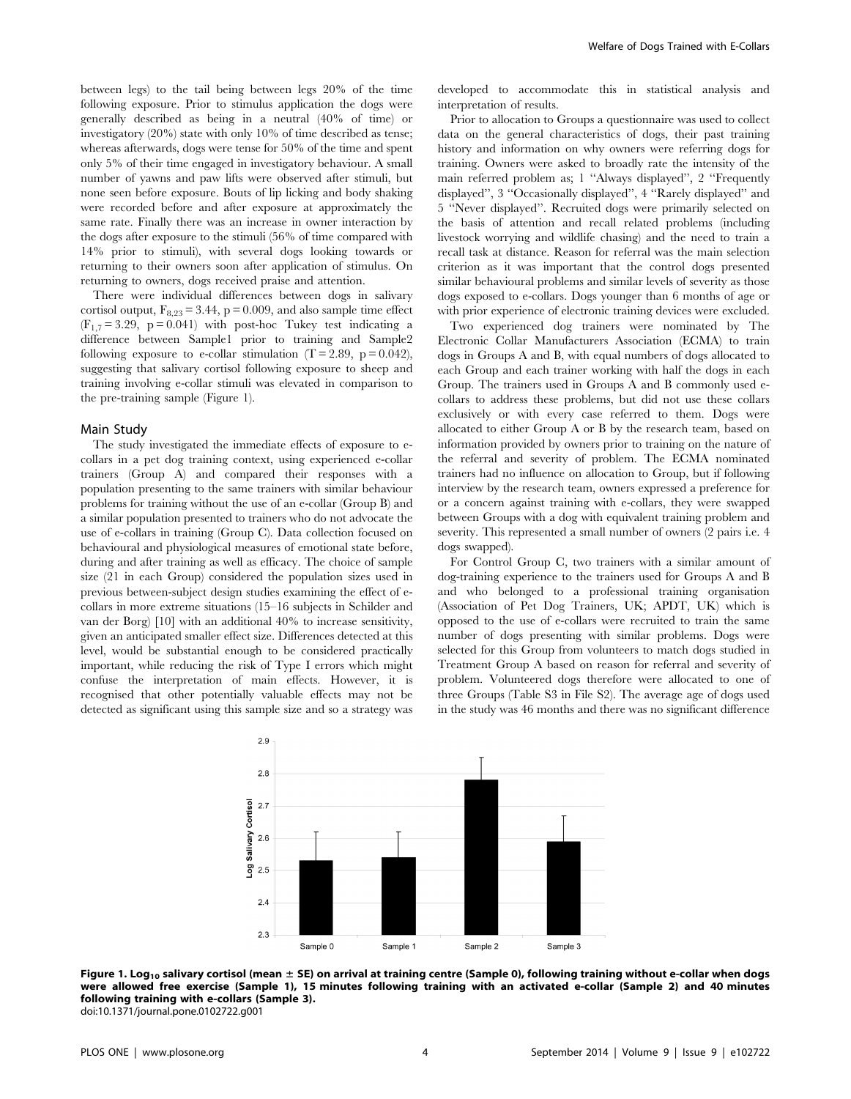between legs) to the tail being between legs 20% of the time following exposure. Prior to stimulus application the dogs were generally described as being in a neutral (40% of time) or investigatory (20%) state with only 10% of time described as tense; whereas afterwards, dogs were tense for 50% of the time and spent only 5% of their time engaged in investigatory behaviour. A small number of yawns and paw lifts were observed after stimuli, but none seen before exposure. Bouts of lip licking and body shaking were recorded before and after exposure at approximately the same rate. Finally there was an increase in owner interaction by the dogs after exposure to the stimuli (56% of time compared with 14% prior to stimuli), with several dogs looking towards or returning to their owners soon after application of stimulus. On returning to owners, dogs received praise and attention.

There were individual differences between dogs in salivary cortisol output,  $F_{8,23} = 3.44$ , p = 0.009, and also sample time effect  $(F_{1,7}= 3.29, p = 0.041)$  with post-hoc Tukey test indicating a difference between Sample1 prior to training and Sample2 following exposure to e-collar stimulation  $(T = 2.89, p = 0.042)$ , suggesting that salivary cortisol following exposure to sheep and training involving e-collar stimuli was elevated in comparison to the pre-training sample (Figure 1).

#### Main Study

The study investigated the immediate effects of exposure to ecollars in a pet dog training context, using experienced e-collar trainers (Group A) and compared their responses with a population presenting to the same trainers with similar behaviour problems for training without the use of an e-collar (Group B) and a similar population presented to trainers who do not advocate the use of e-collars in training (Group C). Data collection focused on behavioural and physiological measures of emotional state before, during and after training as well as efficacy. The choice of sample size (21 in each Group) considered the population sizes used in previous between-subject design studies examining the effect of ecollars in more extreme situations (15–16 subjects in Schilder and van der Borg) [10] with an additional 40% to increase sensitivity, given an anticipated smaller effect size. Differences detected at this level, would be substantial enough to be considered practically important, while reducing the risk of Type I errors which might confuse the interpretation of main effects. However, it is recognised that other potentially valuable effects may not be detected as significant using this sample size and so a strategy was developed to accommodate this in statistical analysis and interpretation of results.

Prior to allocation to Groups a questionnaire was used to collect data on the general characteristics of dogs, their past training history and information on why owners were referring dogs for training. Owners were asked to broadly rate the intensity of the main referred problem as; 1 ''Always displayed'', 2 ''Frequently displayed'', 3 ''Occasionally displayed'', 4 ''Rarely displayed'' and 5 ''Never displayed''. Recruited dogs were primarily selected on the basis of attention and recall related problems (including livestock worrying and wildlife chasing) and the need to train a recall task at distance. Reason for referral was the main selection criterion as it was important that the control dogs presented similar behavioural problems and similar levels of severity as those dogs exposed to e-collars. Dogs younger than 6 months of age or with prior experience of electronic training devices were excluded.

Two experienced dog trainers were nominated by The Electronic Collar Manufacturers Association (ECMA) to train dogs in Groups A and B, with equal numbers of dogs allocated to each Group and each trainer working with half the dogs in each Group. The trainers used in Groups A and B commonly used ecollars to address these problems, but did not use these collars exclusively or with every case referred to them. Dogs were allocated to either Group A or B by the research team, based on information provided by owners prior to training on the nature of the referral and severity of problem. The ECMA nominated trainers had no influence on allocation to Group, but if following interview by the research team, owners expressed a preference for or a concern against training with e-collars, they were swapped between Groups with a dog with equivalent training problem and severity. This represented a small number of owners (2 pairs i.e. 4 dogs swapped).

For Control Group C, two trainers with a similar amount of dog-training experience to the trainers used for Groups A and B and who belonged to a professional training organisation (Association of Pet Dog Trainers, UK; APDT, UK) which is opposed to the use of e-collars were recruited to train the same number of dogs presenting with similar problems. Dogs were selected for this Group from volunteers to match dogs studied in Treatment Group A based on reason for referral and severity of problem. Volunteered dogs therefore were allocated to one of three Groups (Table S3 in File S2). The average age of dogs used in the study was 46 months and there was no significant difference



Figure 1. Log<sub>10</sub> salivary cortisol (mean  $\pm$  SE) on arrival at training centre (Sample 0), following training without e-collar when dogs were allowed free exercise (Sample 1), 15 minutes following training with an activated e-collar (Sample 2) and 40 minutes following training with e-collars (Sample 3). doi:10.1371/journal.pone.0102722.g001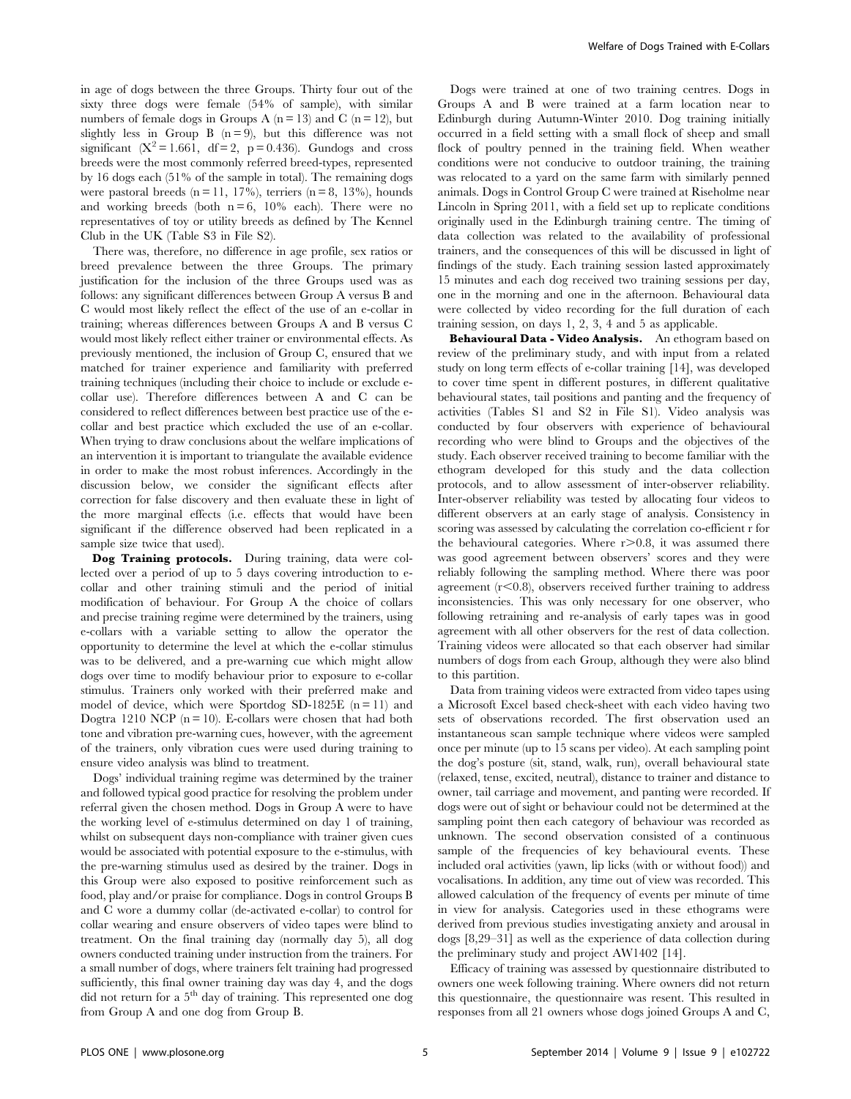in age of dogs between the three Groups. Thirty four out of the sixty three dogs were female (54% of sample), with similar numbers of female dogs in Groups A ( $n = 13$ ) and C ( $n = 12$ ), but slightly less in Group B  $(n=9)$ , but this difference was not significant ( $X^2 = 1.661$ , df = 2, p = 0.436). Gundogs and cross breeds were the most commonly referred breed-types, represented by 16 dogs each (51% of the sample in total). The remaining dogs were pastoral breeds  $(n = 11, 17\%)$ , terriers  $(n = 8, 13\%)$ , hounds and working breeds (both  $n = 6$ , 10% each). There were no representatives of toy or utility breeds as defined by The Kennel Club in the UK (Table S3 in File S2).

There was, therefore, no difference in age profile, sex ratios or breed prevalence between the three Groups. The primary justification for the inclusion of the three Groups used was as follows: any significant differences between Group A versus B and C would most likely reflect the effect of the use of an e-collar in training; whereas differences between Groups A and B versus C would most likely reflect either trainer or environmental effects. As previously mentioned, the inclusion of Group C, ensured that we matched for trainer experience and familiarity with preferred training techniques (including their choice to include or exclude ecollar use). Therefore differences between A and C can be considered to reflect differences between best practice use of the ecollar and best practice which excluded the use of an e-collar. When trying to draw conclusions about the welfare implications of an intervention it is important to triangulate the available evidence in order to make the most robust inferences. Accordingly in the discussion below, we consider the significant effects after correction for false discovery and then evaluate these in light of the more marginal effects (i.e. effects that would have been significant if the difference observed had been replicated in a sample size twice that used).

Dog Training protocols. During training, data were collected over a period of up to 5 days covering introduction to ecollar and other training stimuli and the period of initial modification of behaviour. For Group A the choice of collars and precise training regime were determined by the trainers, using e-collars with a variable setting to allow the operator the opportunity to determine the level at which the e-collar stimulus was to be delivered, and a pre-warning cue which might allow dogs over time to modify behaviour prior to exposure to e-collar stimulus. Trainers only worked with their preferred make and model of device, which were Sportdog SD-1825E  $(n = 11)$  and Dogtra 1210 NCP ( $n = 10$ ). E-collars were chosen that had both tone and vibration pre-warning cues, however, with the agreement of the trainers, only vibration cues were used during training to ensure video analysis was blind to treatment.

Dogs' individual training regime was determined by the trainer and followed typical good practice for resolving the problem under referral given the chosen method. Dogs in Group A were to have the working level of e-stimulus determined on day 1 of training, whilst on subsequent days non-compliance with trainer given cues would be associated with potential exposure to the e-stimulus, with the pre-warning stimulus used as desired by the trainer. Dogs in this Group were also exposed to positive reinforcement such as food, play and/or praise for compliance. Dogs in control Groups B and C wore a dummy collar (de-activated e-collar) to control for collar wearing and ensure observers of video tapes were blind to treatment. On the final training day (normally day 5), all dog owners conducted training under instruction from the trainers. For a small number of dogs, where trainers felt training had progressed sufficiently, this final owner training day was day 4, and the dogs did not return for a 5<sup>th</sup> day of training. This represented one dog from Group A and one dog from Group B.

Dogs were trained at one of two training centres. Dogs in Groups A and B were trained at a farm location near to Edinburgh during Autumn-Winter 2010. Dog training initially occurred in a field setting with a small flock of sheep and small flock of poultry penned in the training field. When weather conditions were not conducive to outdoor training, the training was relocated to a yard on the same farm with similarly penned animals. Dogs in Control Group C were trained at Riseholme near Lincoln in Spring 2011, with a field set up to replicate conditions originally used in the Edinburgh training centre. The timing of data collection was related to the availability of professional trainers, and the consequences of this will be discussed in light of findings of the study. Each training session lasted approximately 15 minutes and each dog received two training sessions per day, one in the morning and one in the afternoon. Behavioural data were collected by video recording for the full duration of each training session, on days 1, 2, 3, 4 and 5 as applicable.

Behavioural Data - Video Analysis. An ethogram based on review of the preliminary study, and with input from a related study on long term effects of e-collar training [14], was developed to cover time spent in different postures, in different qualitative behavioural states, tail positions and panting and the frequency of activities (Tables S1 and S2 in File S1). Video analysis was conducted by four observers with experience of behavioural recording who were blind to Groups and the objectives of the study. Each observer received training to become familiar with the ethogram developed for this study and the data collection protocols, and to allow assessment of inter-observer reliability. Inter-observer reliability was tested by allocating four videos to different observers at an early stage of analysis. Consistency in scoring was assessed by calculating the correlation co-efficient r for the behavioural categories. Where  $r > 0.8$ , it was assumed there was good agreement between observers' scores and they were reliably following the sampling method. Where there was poor agreement  $(r<0.8)$ , observers received further training to address inconsistencies. This was only necessary for one observer, who following retraining and re-analysis of early tapes was in good agreement with all other observers for the rest of data collection. Training videos were allocated so that each observer had similar numbers of dogs from each Group, although they were also blind to this partition.

Data from training videos were extracted from video tapes using a Microsoft Excel based check-sheet with each video having two sets of observations recorded. The first observation used an instantaneous scan sample technique where videos were sampled once per minute (up to 15 scans per video). At each sampling point the dog's posture (sit, stand, walk, run), overall behavioural state (relaxed, tense, excited, neutral), distance to trainer and distance to owner, tail carriage and movement, and panting were recorded. If dogs were out of sight or behaviour could not be determined at the sampling point then each category of behaviour was recorded as unknown. The second observation consisted of a continuous sample of the frequencies of key behavioural events. These included oral activities (yawn, lip licks (with or without food)) and vocalisations. In addition, any time out of view was recorded. This allowed calculation of the frequency of events per minute of time in view for analysis. Categories used in these ethograms were derived from previous studies investigating anxiety and arousal in dogs [8,29–31] as well as the experience of data collection during the preliminary study and project AW1402 [14].

Efficacy of training was assessed by questionnaire distributed to owners one week following training. Where owners did not return this questionnaire, the questionnaire was resent. This resulted in responses from all 21 owners whose dogs joined Groups A and C,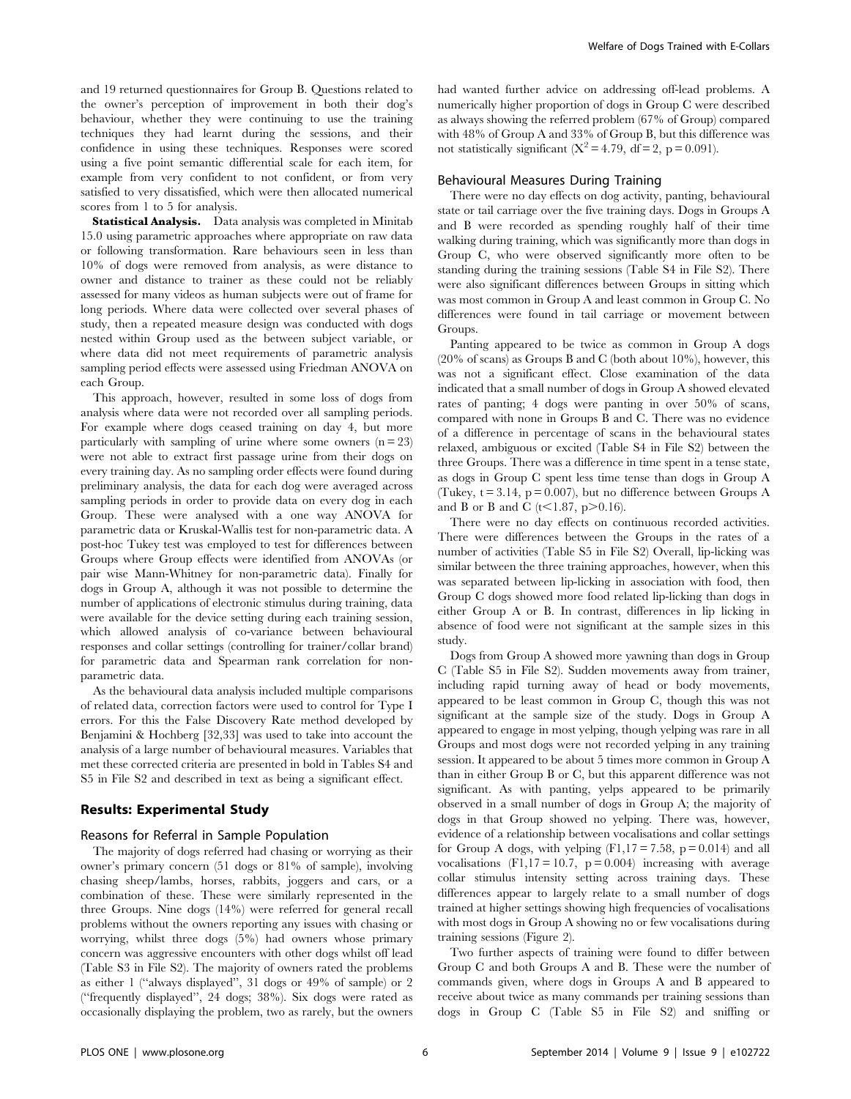and 19 returned questionnaires for Group B. Questions related to the owner's perception of improvement in both their dog's behaviour, whether they were continuing to use the training techniques they had learnt during the sessions, and their confidence in using these techniques. Responses were scored using a five point semantic differential scale for each item, for example from very confident to not confident, or from very satisfied to very dissatisfied, which were then allocated numerical scores from 1 to 5 for analysis.

Statistical Analysis. Data analysis was completed in Minitab 15.0 using parametric approaches where appropriate on raw data or following transformation. Rare behaviours seen in less than 10% of dogs were removed from analysis, as were distance to owner and distance to trainer as these could not be reliably assessed for many videos as human subjects were out of frame for long periods. Where data were collected over several phases of study, then a repeated measure design was conducted with dogs nested within Group used as the between subject variable, or where data did not meet requirements of parametric analysis sampling period effects were assessed using Friedman ANOVA on each Group.

This approach, however, resulted in some loss of dogs from analysis where data were not recorded over all sampling periods. For example where dogs ceased training on day 4, but more particularly with sampling of urine where some owners  $(n = 23)$ were not able to extract first passage urine from their dogs on every training day. As no sampling order effects were found during preliminary analysis, the data for each dog were averaged across sampling periods in order to provide data on every dog in each Group. These were analysed with a one way ANOVA for parametric data or Kruskal-Wallis test for non-parametric data. A post-hoc Tukey test was employed to test for differences between Groups where Group effects were identified from ANOVAs (or pair wise Mann-Whitney for non-parametric data). Finally for dogs in Group A, although it was not possible to determine the number of applications of electronic stimulus during training, data were available for the device setting during each training session, which allowed analysis of co-variance between behavioural responses and collar settings (controlling for trainer/collar brand) for parametric data and Spearman rank correlation for nonparametric data.

As the behavioural data analysis included multiple comparisons of related data, correction factors were used to control for Type I errors. For this the False Discovery Rate method developed by Benjamini & Hochberg [32,33] was used to take into account the analysis of a large number of behavioural measures. Variables that met these corrected criteria are presented in bold in Tables S4 and S5 in File S2 and described in text as being a significant effect.

#### Results: Experimental Study

#### Reasons for Referral in Sample Population

The majority of dogs referred had chasing or worrying as their owner's primary concern (51 dogs or 81% of sample), involving chasing sheep/lambs, horses, rabbits, joggers and cars, or a combination of these. These were similarly represented in the three Groups. Nine dogs (14%) were referred for general recall problems without the owners reporting any issues with chasing or worrying, whilst three dogs (5%) had owners whose primary concern was aggressive encounters with other dogs whilst off lead (Table S3 in File S2). The majority of owners rated the problems as either 1 (''always displayed'', 31 dogs or 49% of sample) or 2 (''frequently displayed'', 24 dogs; 38%). Six dogs were rated as occasionally displaying the problem, two as rarely, but the owners had wanted further advice on addressing off-lead problems. A numerically higher proportion of dogs in Group C were described as always showing the referred problem (67% of Group) compared with 48% of Group A and 33% of Group B, but this difference was not statistically significant  $(X^2 = 4.79, df = 2, p = 0.091)$ .

#### Behavioural Measures During Training

There were no day effects on dog activity, panting, behavioural state or tail carriage over the five training days. Dogs in Groups A and B were recorded as spending roughly half of their time walking during training, which was significantly more than dogs in Group C, who were observed significantly more often to be standing during the training sessions (Table S4 in File S2). There were also significant differences between Groups in sitting which was most common in Group A and least common in Group C. No differences were found in tail carriage or movement between Groups.

Panting appeared to be twice as common in Group A dogs  $(20\% \text{ of scans})$  as Groups B and C (both about 10%), however, this was not a significant effect. Close examination of the data indicated that a small number of dogs in Group A showed elevated rates of panting; 4 dogs were panting in over 50% of scans, compared with none in Groups B and C. There was no evidence of a difference in percentage of scans in the behavioural states relaxed, ambiguous or excited (Table S4 in File S2) between the three Groups. There was a difference in time spent in a tense state, as dogs in Group C spent less time tense than dogs in Group A (Tukey,  $t = 3.14$ ,  $p = 0.007$ ), but no difference between Groups A and B or B and C ( $t$ <1.87, p>0.16).

There were no day effects on continuous recorded activities. There were differences between the Groups in the rates of a number of activities (Table S5 in File S2) Overall, lip-licking was similar between the three training approaches, however, when this was separated between lip-licking in association with food, then Group C dogs showed more food related lip-licking than dogs in either Group A or B. In contrast, differences in lip licking in absence of food were not significant at the sample sizes in this study.

Dogs from Group A showed more yawning than dogs in Group C (Table S5 in File S2). Sudden movements away from trainer, including rapid turning away of head or body movements, appeared to be least common in Group C, though this was not significant at the sample size of the study. Dogs in Group A appeared to engage in most yelping, though yelping was rare in all Groups and most dogs were not recorded yelping in any training session. It appeared to be about 5 times more common in Group A than in either Group B or C, but this apparent difference was not significant. As with panting, yelps appeared to be primarily observed in a small number of dogs in Group A; the majority of dogs in that Group showed no yelping. There was, however, evidence of a relationship between vocalisations and collar settings for Group A dogs, with yelping  $(F1,17 = 7.58, p = 0.014)$  and all vocalisations  $(F1,17 = 10.7, p = 0.004)$  increasing with average collar stimulus intensity setting across training days. These differences appear to largely relate to a small number of dogs trained at higher settings showing high frequencies of vocalisations with most dogs in Group A showing no or few vocalisations during training sessions (Figure 2).

Two further aspects of training were found to differ between Group C and both Groups A and B. These were the number of commands given, where dogs in Groups A and B appeared to receive about twice as many commands per training sessions than dogs in Group C (Table S5 in File S2) and sniffing or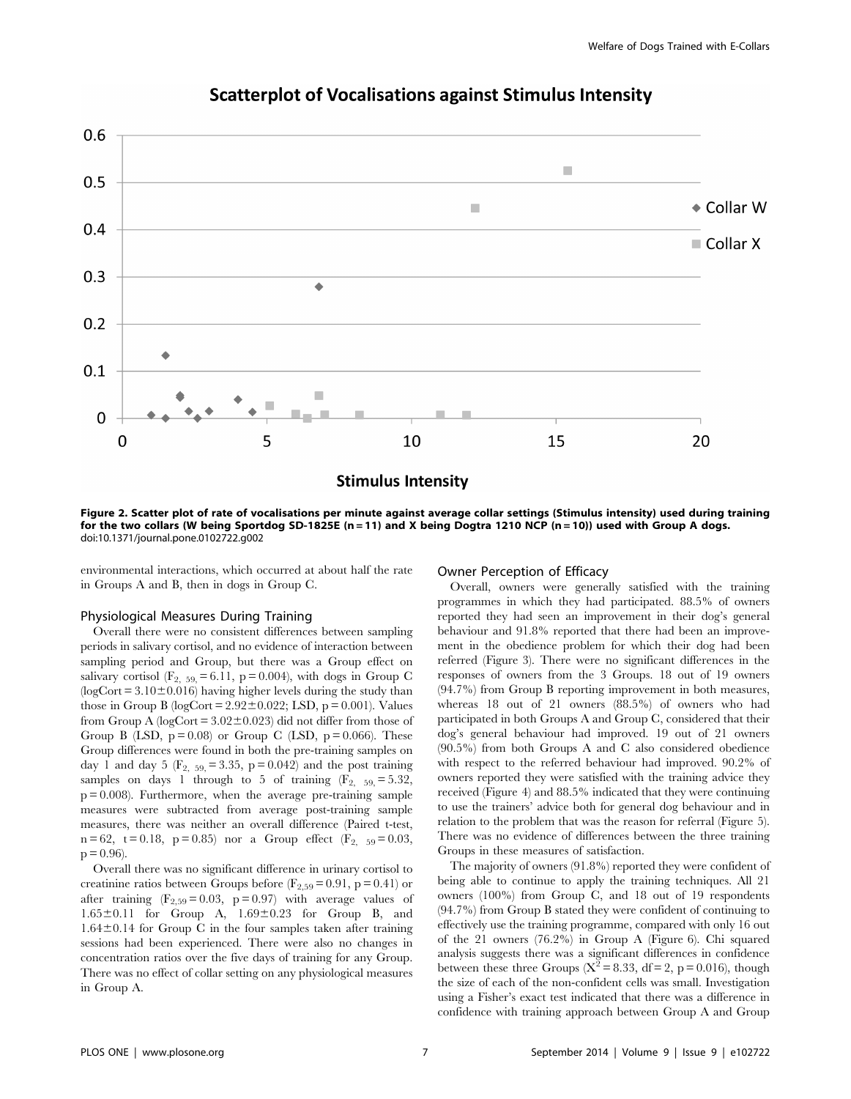

### **Scatterplot of Vocalisations against Stimulus Intensity**

Figure 2. Scatter plot of rate of vocalisations per minute against average collar settings (Stimulus intensity) used during training for the two collars (W being Sportdog SD-1825E (n = 11) and X being Dogtra 1210 NCP (n = 10)) used with Group A dogs. doi:10.1371/journal.pone.0102722.g002

environmental interactions, which occurred at about half the rate in Groups A and B, then in dogs in Group C.

### Owner Perception of Efficacy

#### Physiological Measures During Training

Overall there were no consistent differences between sampling periods in salivary cortisol, and no evidence of interaction between sampling period and Group, but there was a Group effect on salivary cortisol ( $F_2$ ,  $_{59}$  = 6.11, p = 0.004), with dogs in Group C  $logCort = 3.10 \pm 0.016$ ) having higher levels during the study than those in Group B (logCort =  $2.92 \pm 0.022$ ; LSD, p = 0.001). Values from Group A ( $logCort = 3.02 \pm 0.023$ ) did not differ from those of Group B (LSD,  $p = 0.08$ ) or Group C (LSD,  $p = 0.066$ ). These Group differences were found in both the pre-training samples on day 1 and day 5 ( $F_2$ ,  $_{59}$ , = 3.35, p = 0.042) and the post training samples on days 1 through to 5 of training  $(F_{2, 59)} = 5.32$ ,  $p = 0.008$ ). Furthermore, when the average pre-training sample measures were subtracted from average post-training sample measures, there was neither an overall difference (Paired t-test,  $n = 62$ ,  $t = 0.18$ ,  $p = 0.85$ ) nor a Group effect (F<sub>2, 59</sub> = 0.03,  $p = 0.96$ ).

Overall there was no significant difference in urinary cortisol to creatinine ratios between Groups before ( $F_{2,59}$  = 0.91, p = 0.41) or after training  $(F_{2,59} = 0.03, p = 0.97)$  with average values of  $1.65\pm0.11$  for Group A,  $1.69\pm0.23$  for Group B, and  $1.64\pm0.14$  for Group C in the four samples taken after training sessions had been experienced. There were also no changes in concentration ratios over the five days of training for any Group. There was no effect of collar setting on any physiological measures in Group A.

Overall, owners were generally satisfied with the training programmes in which they had participated. 88.5% of owners reported they had seen an improvement in their dog's general behaviour and 91.8% reported that there had been an improvement in the obedience problem for which their dog had been referred (Figure 3). There were no significant differences in the responses of owners from the 3 Groups. 18 out of 19 owners (94.7%) from Group B reporting improvement in both measures, whereas 18 out of 21 owners (88.5%) of owners who had participated in both Groups A and Group C, considered that their dog's general behaviour had improved. 19 out of 21 owners (90.5%) from both Groups A and C also considered obedience with respect to the referred behaviour had improved. 90.2% of owners reported they were satisfied with the training advice they received (Figure 4) and 88.5% indicated that they were continuing to use the trainers' advice both for general dog behaviour and in relation to the problem that was the reason for referral (Figure 5). There was no evidence of differences between the three training Groups in these measures of satisfaction.

The majority of owners (91.8%) reported they were confident of being able to continue to apply the training techniques. All 21 owners (100%) from Group C, and 18 out of 19 respondents (94.7%) from Group B stated they were confident of continuing to effectively use the training programme, compared with only 16 out of the 21 owners (76.2%) in Group A (Figure 6). Chi squared analysis suggests there was a significant differences in confidence between these three Groups ( $X^2 = 8.33$ , df = 2, p = 0.016), though the size of each of the non-confident cells was small. Investigation using a Fisher's exact test indicated that there was a difference in confidence with training approach between Group A and Group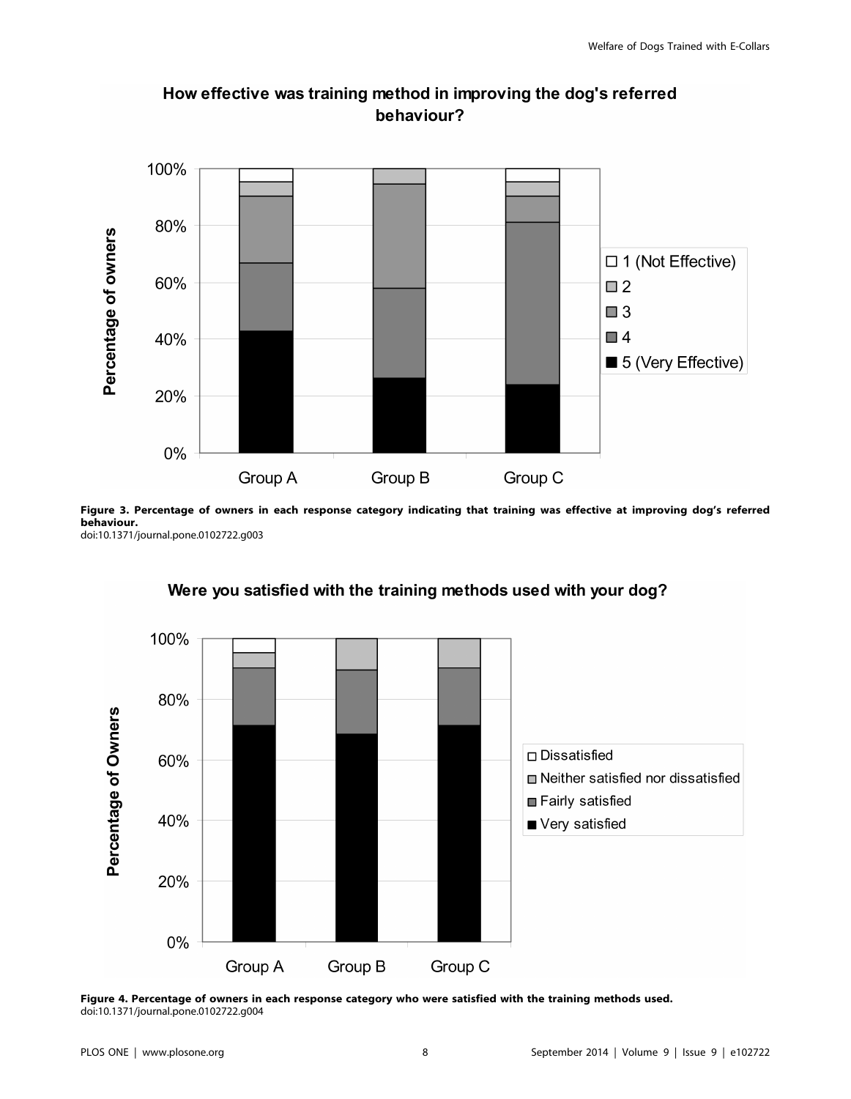

# How effective was training method in improving the dog's referred behaviour?

Figure 3. Percentage of owners in each response category indicating that training was effective at improving dog's referred behaviour. doi:10.1371/journal.pone.0102722.g003



## Were you satisfied with the training methods used with your dog?

Figure 4. Percentage of owners in each response category who were satisfied with the training methods used. doi:10.1371/journal.pone.0102722.g004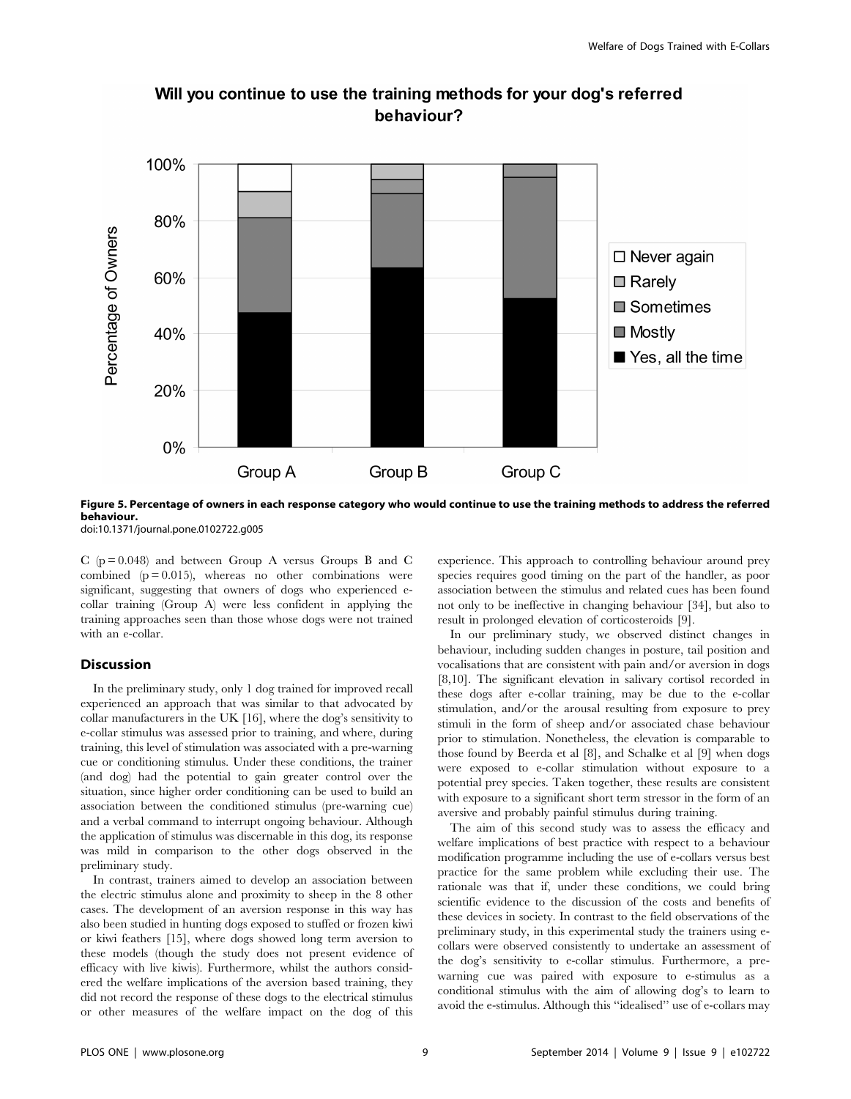

### Will you continue to use the training methods for your dog's referred behaviour?

Figure 5. Percentage of owners in each response category who would continue to use the training methods to address the referred behaviour.

doi:10.1371/journal.pone.0102722.g005

C ( $p = 0.048$ ) and between Group A versus Groups B and C combined  $(p = 0.015)$ , whereas no other combinations were significant, suggesting that owners of dogs who experienced ecollar training (Group A) were less confident in applying the training approaches seen than those whose dogs were not trained with an e-collar.

#### **Discussion**

In the preliminary study, only 1 dog trained for improved recall experienced an approach that was similar to that advocated by collar manufacturers in the UK [16], where the dog's sensitivity to e-collar stimulus was assessed prior to training, and where, during training, this level of stimulation was associated with a pre-warning cue or conditioning stimulus. Under these conditions, the trainer (and dog) had the potential to gain greater control over the situation, since higher order conditioning can be used to build an association between the conditioned stimulus (pre-warning cue) and a verbal command to interrupt ongoing behaviour. Although the application of stimulus was discernable in this dog, its response was mild in comparison to the other dogs observed in the preliminary study.

In contrast, trainers aimed to develop an association between the electric stimulus alone and proximity to sheep in the 8 other cases. The development of an aversion response in this way has also been studied in hunting dogs exposed to stuffed or frozen kiwi or kiwi feathers [15], where dogs showed long term aversion to these models (though the study does not present evidence of efficacy with live kiwis). Furthermore, whilst the authors considered the welfare implications of the aversion based training, they did not record the response of these dogs to the electrical stimulus or other measures of the welfare impact on the dog of this

experience. This approach to controlling behaviour around prey species requires good timing on the part of the handler, as poor association between the stimulus and related cues has been found not only to be ineffective in changing behaviour [34], but also to result in prolonged elevation of corticosteroids [9].

In our preliminary study, we observed distinct changes in behaviour, including sudden changes in posture, tail position and vocalisations that are consistent with pain and/or aversion in dogs [8,10]. The significant elevation in salivary cortisol recorded in these dogs after e-collar training, may be due to the e-collar stimulation, and/or the arousal resulting from exposure to prey stimuli in the form of sheep and/or associated chase behaviour prior to stimulation. Nonetheless, the elevation is comparable to those found by Beerda et al [8], and Schalke et al [9] when dogs were exposed to e-collar stimulation without exposure to a potential prey species. Taken together, these results are consistent with exposure to a significant short term stressor in the form of an aversive and probably painful stimulus during training.

The aim of this second study was to assess the efficacy and welfare implications of best practice with respect to a behaviour modification programme including the use of e-collars versus best practice for the same problem while excluding their use. The rationale was that if, under these conditions, we could bring scientific evidence to the discussion of the costs and benefits of these devices in society. In contrast to the field observations of the preliminary study, in this experimental study the trainers using ecollars were observed consistently to undertake an assessment of the dog's sensitivity to e-collar stimulus. Furthermore, a prewarning cue was paired with exposure to e-stimulus as a conditional stimulus with the aim of allowing dog's to learn to avoid the e-stimulus. Although this ''idealised'' use of e-collars may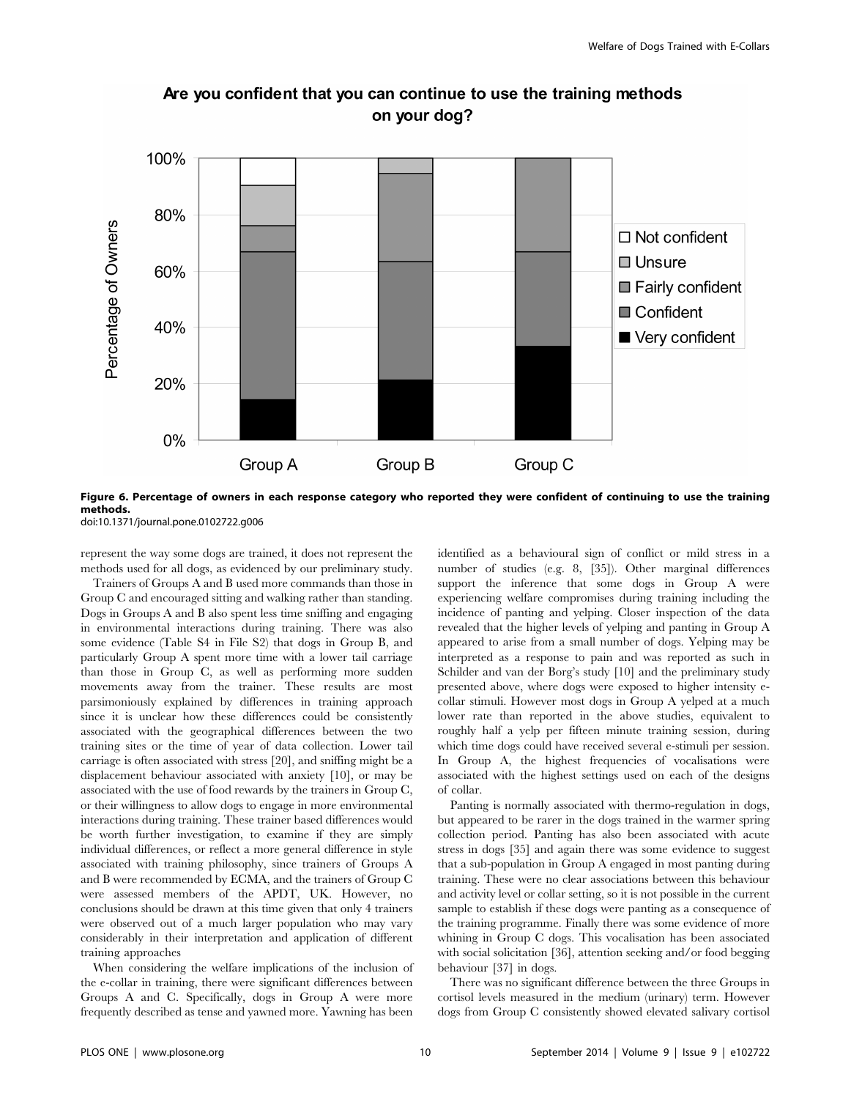

## Are you confident that you can continue to use the training methods on your dog?



doi:10.1371/journal.pone.0102722.g006

represent the way some dogs are trained, it does not represent the methods used for all dogs, as evidenced by our preliminary study.

Trainers of Groups A and B used more commands than those in Group C and encouraged sitting and walking rather than standing. Dogs in Groups A and B also spent less time sniffing and engaging in environmental interactions during training. There was also some evidence (Table S4 in File S2) that dogs in Group B, and particularly Group A spent more time with a lower tail carriage than those in Group C, as well as performing more sudden movements away from the trainer. These results are most parsimoniously explained by differences in training approach since it is unclear how these differences could be consistently associated with the geographical differences between the two training sites or the time of year of data collection. Lower tail carriage is often associated with stress [20], and sniffing might be a displacement behaviour associated with anxiety [10], or may be associated with the use of food rewards by the trainers in Group C, or their willingness to allow dogs to engage in more environmental interactions during training. These trainer based differences would be worth further investigation, to examine if they are simply individual differences, or reflect a more general difference in style associated with training philosophy, since trainers of Groups A and B were recommended by ECMA, and the trainers of Group C were assessed members of the APDT, UK. However, no conclusions should be drawn at this time given that only 4 trainers were observed out of a much larger population who may vary considerably in their interpretation and application of different training approaches

When considering the welfare implications of the inclusion of the e-collar in training, there were significant differences between Groups A and C. Specifically, dogs in Group A were more frequently described as tense and yawned more. Yawning has been

identified as a behavioural sign of conflict or mild stress in a number of studies (e.g. 8, [35]). Other marginal differences support the inference that some dogs in Group A were experiencing welfare compromises during training including the incidence of panting and yelping. Closer inspection of the data revealed that the higher levels of yelping and panting in Group A appeared to arise from a small number of dogs. Yelping may be interpreted as a response to pain and was reported as such in Schilder and van der Borg's study [10] and the preliminary study presented above, where dogs were exposed to higher intensity ecollar stimuli. However most dogs in Group A yelped at a much lower rate than reported in the above studies, equivalent to roughly half a yelp per fifteen minute training session, during which time dogs could have received several e-stimuli per session. In Group A, the highest frequencies of vocalisations were associated with the highest settings used on each of the designs of collar.

Panting is normally associated with thermo-regulation in dogs, but appeared to be rarer in the dogs trained in the warmer spring collection period. Panting has also been associated with acute stress in dogs [35] and again there was some evidence to suggest that a sub-population in Group A engaged in most panting during training. These were no clear associations between this behaviour and activity level or collar setting, so it is not possible in the current sample to establish if these dogs were panting as a consequence of the training programme. Finally there was some evidence of more whining in Group C dogs. This vocalisation has been associated with social solicitation [36], attention seeking and/or food begging behaviour [37] in dogs.

There was no significant difference between the three Groups in cortisol levels measured in the medium (urinary) term. However dogs from Group C consistently showed elevated salivary cortisol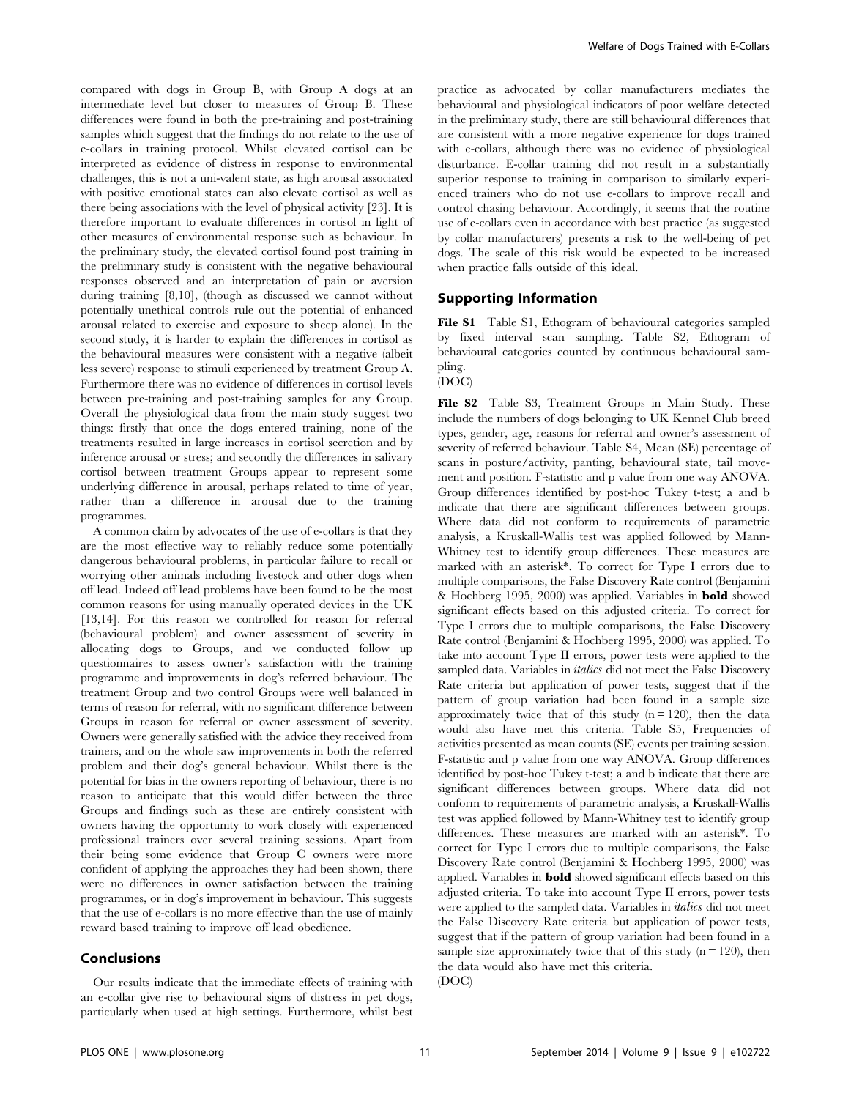compared with dogs in Group B, with Group A dogs at an intermediate level but closer to measures of Group B. These differences were found in both the pre-training and post-training samples which suggest that the findings do not relate to the use of e-collars in training protocol. Whilst elevated cortisol can be interpreted as evidence of distress in response to environmental challenges, this is not a uni-valent state, as high arousal associated with positive emotional states can also elevate cortisol as well as there being associations with the level of physical activity [23]. It is therefore important to evaluate differences in cortisol in light of other measures of environmental response such as behaviour. In the preliminary study, the elevated cortisol found post training in the preliminary study is consistent with the negative behavioural responses observed and an interpretation of pain or aversion during training [8,10], (though as discussed we cannot without potentially unethical controls rule out the potential of enhanced arousal related to exercise and exposure to sheep alone). In the second study, it is harder to explain the differences in cortisol as the behavioural measures were consistent with a negative (albeit less severe) response to stimuli experienced by treatment Group A. Furthermore there was no evidence of differences in cortisol levels between pre-training and post-training samples for any Group. Overall the physiological data from the main study suggest two things: firstly that once the dogs entered training, none of the treatments resulted in large increases in cortisol secretion and by inference arousal or stress; and secondly the differences in salivary cortisol between treatment Groups appear to represent some underlying difference in arousal, perhaps related to time of year, rather than a difference in arousal due to the training programmes.

A common claim by advocates of the use of e-collars is that they are the most effective way to reliably reduce some potentially dangerous behavioural problems, in particular failure to recall or worrying other animals including livestock and other dogs when off lead. Indeed off lead problems have been found to be the most common reasons for using manually operated devices in the UK [13,14]. For this reason we controlled for reason for referral (behavioural problem) and owner assessment of severity in allocating dogs to Groups, and we conducted follow up questionnaires to assess owner's satisfaction with the training programme and improvements in dog's referred behaviour. The treatment Group and two control Groups were well balanced in terms of reason for referral, with no significant difference between Groups in reason for referral or owner assessment of severity. Owners were generally satisfied with the advice they received from trainers, and on the whole saw improvements in both the referred problem and their dog's general behaviour. Whilst there is the potential for bias in the owners reporting of behaviour, there is no reason to anticipate that this would differ between the three Groups and findings such as these are entirely consistent with owners having the opportunity to work closely with experienced professional trainers over several training sessions. Apart from their being some evidence that Group C owners were more confident of applying the approaches they had been shown, there were no differences in owner satisfaction between the training programmes, or in dog's improvement in behaviour. This suggests that the use of e-collars is no more effective than the use of mainly reward based training to improve off lead obedience.

#### Conclusions

Our results indicate that the immediate effects of training with an e-collar give rise to behavioural signs of distress in pet dogs, particularly when used at high settings. Furthermore, whilst best

practice as advocated by collar manufacturers mediates the behavioural and physiological indicators of poor welfare detected in the preliminary study, there are still behavioural differences that are consistent with a more negative experience for dogs trained with e-collars, although there was no evidence of physiological disturbance. E-collar training did not result in a substantially superior response to training in comparison to similarly experienced trainers who do not use e-collars to improve recall and control chasing behaviour. Accordingly, it seems that the routine use of e-collars even in accordance with best practice (as suggested by collar manufacturers) presents a risk to the well-being of pet dogs. The scale of this risk would be expected to be increased when practice falls outside of this ideal.

#### Supporting Information

File S1 Table S1, Ethogram of behavioural categories sampled by fixed interval scan sampling. Table S2, Ethogram of behavioural categories counted by continuous behavioural sampling. (DOC)

#### File S2 Table S3, Treatment Groups in Main Study. These include the numbers of dogs belonging to UK Kennel Club breed types, gender, age, reasons for referral and owner's assessment of severity of referred behaviour. Table S4, Mean (SE) percentage of scans in posture/activity, panting, behavioural state, tail movement and position. F-statistic and p value from one way ANOVA. Group differences identified by post-hoc Tukey t-test; a and b indicate that there are significant differences between groups. Where data did not conform to requirements of parametric analysis, a Kruskall-Wallis test was applied followed by Mann-Whitney test to identify group differences. These measures are marked with an asterisk\*. To correct for Type I errors due to multiple comparisons, the False Discovery Rate control (Benjamini & Hochberg 1995, 2000) was applied. Variables in bold showed significant effects based on this adjusted criteria. To correct for Type I errors due to multiple comparisons, the False Discovery Rate control (Benjamini & Hochberg 1995, 2000) was applied. To take into account Type II errors, power tests were applied to the sampled data. Variables in *italics* did not meet the False Discovery Rate criteria but application of power tests, suggest that if the pattern of group variation had been found in a sample size approximately twice that of this study  $(n = 120)$ , then the data would also have met this criteria. Table S5, Frequencies of activities presented as mean counts (SE) events per training session. F-statistic and p value from one way ANOVA. Group differences identified by post-hoc Tukey t-test; a and b indicate that there are significant differences between groups. Where data did not conform to requirements of parametric analysis, a Kruskall-Wallis test was applied followed by Mann-Whitney test to identify group differences. These measures are marked with an asterisk\*. To correct for Type I errors due to multiple comparisons, the False Discovery Rate control (Benjamini & Hochberg 1995, 2000) was applied. Variables in bold showed significant effects based on this adjusted criteria. To take into account Type II errors, power tests were applied to the sampled data. Variables in italics did not meet the False Discovery Rate criteria but application of power tests, suggest that if the pattern of group variation had been found in a sample size approximately twice that of this study  $(n = 120)$ , then the data would also have met this criteria. (DOC)